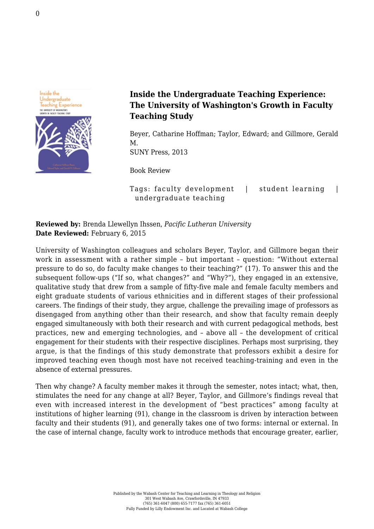

## **Inside the Undergraduate Teaching Experience: The University of Washington's Growth in Faculty Teaching Study**

Beyer, Catharine Hoffman; Taylor, Edward; and Gillmore, Gerald M. [SUNY Press, 2013](http://www.sunypress.edu/p-5644-inside-the-undergraduate-teachi.aspx)

Book Review

Tags: faculty development | student learning | undergraduate teaching

**Reviewed by:** Brenda Llewellyn Ihssen, *Pacific Lutheran University* **Date Reviewed:** February 6, 2015

University of Washington colleagues and scholars Beyer, Taylor, and Gillmore began their work in assessment with a rather simple – but important – question: "Without external pressure to do so, do faculty make changes to their teaching?" (17). To answer this and the subsequent follow-ups ("If so, what changes?" and "Why?"), they engaged in an extensive, qualitative study that drew from a sample of fifty-five male and female faculty members and eight graduate students of various ethnicities and in different stages of their professional careers. The findings of their study, they argue, challenge the prevailing image of professors as disengaged from anything other than their research, and show that faculty remain deeply engaged simultaneously with both their research and with current pedagogical methods, best practices, new and emerging technologies, and – above all – the development of critical engagement for their students with their respective disciplines. Perhaps most surprising, they argue, is that the findings of this study demonstrate that professors exhibit a desire for improved teaching even though most have not received teaching-training and even in the absence of external pressures.

Then why change? A faculty member makes it through the semester, notes intact; what, then, stimulates the need for any change at all? Beyer, Taylor, and Gillmore's findings reveal that even with increased interest in the development of "best practices" among faculty at institutions of higher learning (91), change in the classroom is driven by interaction between faculty and their students (91), and generally takes one of two forms: internal or external. In the case of internal change, faculty work to introduce methods that encourage greater, earlier,